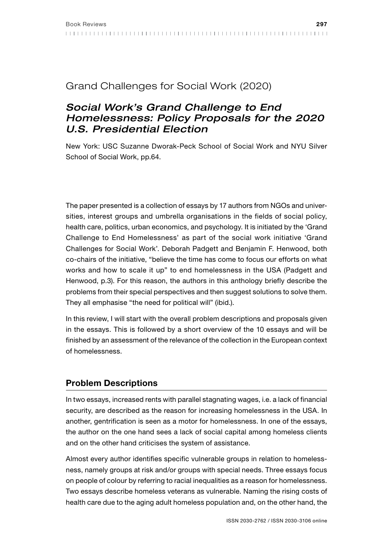## Grand Challenges for Social Work (2020)

# *Social Work's Grand Challenge to End Homelessness: Policy Proposals for the 2020 U.S. Presidential Election*

New York: USC Suzanne Dworak-Peck School of Social Work and NYU Silver School of Social Work, pp.64.

The paper presented is a collection of essays by 17 authors from NGOs and universities, interest groups and umbrella organisations in the fields of social policy, health care, politics, urban economics, and psychology. It is initiated by the 'Grand Challenge to End Homelessness' as part of the social work initiative 'Grand Challenges for Social Work'. Deborah Padgett and Benjamin F. Henwood, both co-chairs of the initiative, "believe the time has come to focus our efforts on what works and how to scale it up" to end homelessness in the USA (Padgett and Henwood, p.3). For this reason, the authors in this anthology briefly describe the problems from their special perspectives and then suggest solutions to solve them. They all emphasise "the need for political will" (ibid.).

In this review, I will start with the overall problem descriptions and proposals given in the essays. This is followed by a short overview of the 10 essays and will be finished by an assessment of the relevance of the collection in the European context of homelessness.

### Problem Descriptions

In two essays, increased rents with parallel stagnating wages, i.e. a lack of financial security, are described as the reason for increasing homelessness in the USA. In another, gentrification is seen as a motor for homelessness. In one of the essays, the author on the one hand sees a lack of social capital among homeless clients and on the other hand criticises the system of assistance.

Almost every author identifies specific vulnerable groups in relation to homelessness, namely groups at risk and/or groups with special needs. Three essays focus on people of colour by referring to racial inequalities as a reason for homelessness. Two essays describe homeless veterans as vulnerable. Naming the rising costs of health care due to the aging adult homeless population and, on the other hand, the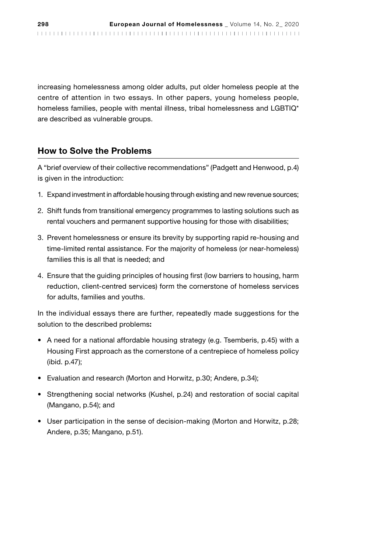increasing homelessness among older adults, put older homeless people at the centre of attention in two essays. In other papers, young homeless people, homeless families, people with mental illness, tribal homelessness and LGBTIQ\* are described as vulnerable groups.

#### How to Solve the Problems

A "brief overview of their collective recommendations" (Padgett and Henwood, p.4) is given in the introduction:

- 1. Expand investment in affordable housing through existing and new revenue sources;
- 2. Shift funds from transitional emergency programmes to lasting solutions such as rental vouchers and permanent supportive housing for those with disabilities;
- 3. Prevent homelessness or ensure its brevity by supporting rapid re-housing and time-limited rental assistance. For the majority of homeless (or near-homeless) families this is all that is needed; and
- 4. Ensure that the guiding principles of housing first (low barriers to housing, harm reduction, client-centred services) form the cornerstone of homeless services for adults, families and youths.

In the individual essays there are further, repeatedly made suggestions for the solution to the described problems:

- A need for a national affordable housing strategy (e.g. Tsemberis, p.45) with a Housing First approach as the cornerstone of a centrepiece of homeless policy (ibid. p.47);
- Evaluation and research (Morton and Horwitz, p.30; Andere, p.34);
- Strengthening social networks (Kushel, p.24) and restoration of social capital (Mangano, p.54); and
- User participation in the sense of decision-making (Morton and Horwitz, p.28; Andere, p.35; Mangano, p.51).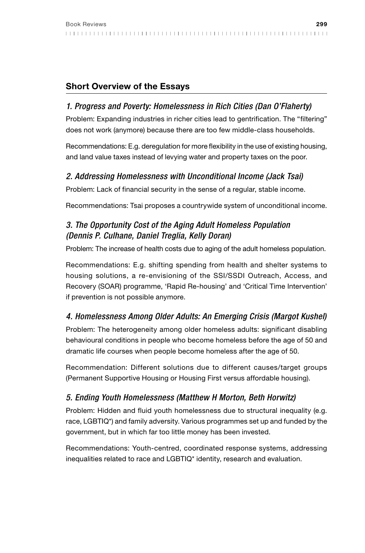## Short Overview of the Essays

### *1. Progress and Poverty: Homelessness in Rich Cities (Dan O'Flaherty)*

Problem: Expanding industries in richer cities lead to gentrification. The "filtering" does not work (anymore) because there are too few middle-class households.

Recommendations: E.g. deregulation for more flexibility in the use of existing housing, and land value taxes instead of levying water and property taxes on the poor.

### *2. Addressing Homelessness with Unconditional Income (Jack Tsai)*

Problem: Lack of financial security in the sense of a regular, stable income.

Recommendations: Tsai proposes a countrywide system of unconditional income.

## *3. The Opportunity Cost of the Aging Adult Homeless Population (Dennis P. Culhane, Daniel Treglia, Kelly Doran)*

Problem: The increase of health costs due to aging of the adult homeless population.

Recommendations: E.g. shifting spending from health and shelter systems to housing solutions, a re-envisioning of the SSI/SSDI Outreach, Access, and Recovery (SOAR) programme, 'Rapid Re-housing' and 'Critical Time Intervention' if prevention is not possible anymore.

## *4. Homelessness Among Older Adults: An Emerging Crisis (Margot Kushel)*

Problem: The heterogeneity among older homeless adults: significant disabling behavioural conditions in people who become homeless before the age of 50 and dramatic life courses when people become homeless after the age of 50.

Recommendation: Different solutions due to different causes/target groups (Permanent Supportive Housing or Housing First versus affordable housing).

### *5. Ending Youth Homelessness (Matthew H Morton, Beth Horwitz)*

Problem: Hidden and fluid youth homelessness due to structural inequality (e.g. race, LGBTIQ\*) and family adversity. Various programmes set up and funded by the government, but in which far too little money has been invested.

Recommendations: Youth-centred, coordinated response systems, addressing inequalities related to race and LGBTIQ\* identity, research and evaluation.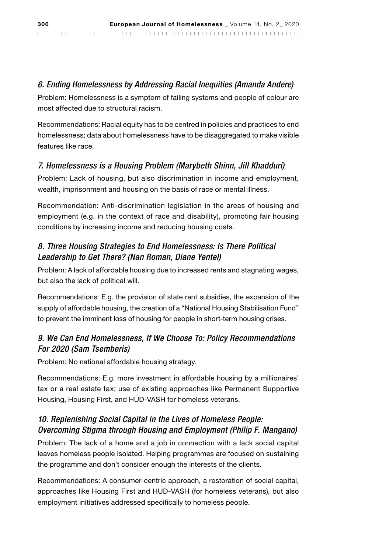#### *6. Ending Homelessness by Addressing Racial Inequities (Amanda Andere)*

Problem: Homelessness is a symptom of failing systems and people of colour are most affected due to structural racism.

Recommendations: Racial equity has to be centred in policies and practices to end homelessness; data about homelessness have to be disaggregated to make visible features like race.

#### *7. Homelessness is a Housing Problem (Marybeth Shinn, Jill Khadduri)*

Problem: Lack of housing, but also discrimination in income and employment, wealth, imprisonment and housing on the basis of race or mental illness.

Recommendation: Anti-discrimination legislation in the areas of housing and employment (e.g. in the context of race and disability), promoting fair housing conditions by increasing income and reducing housing costs.

### *8. Three Housing Strategies to End Homelessness: Is There Political Leadership to Get There? (Nan Roman, Diane Yentel)*

Problem: A lack of affordable housing due to increased rents and stagnating wages, but also the lack of political will.

Recommendations: E.g. the provision of state rent subsidies, the expansion of the supply of affordable housing, the creation of a "National Housing Stabilisation Fund" to prevent the imminent loss of housing for people in short-term housing crises.

### *9. We Can End Homelessness, If We Choose To: Policy Recommendations For 2020 (Sam Tsemberis)*

Problem: No national affordable housing strategy.

Recommendations: E.g. more investment in affordable housing by a millionaires' tax or a real estate tax; use of existing approaches like Permanent Supportive Housing, Housing First, and HUD-VASH for homeless veterans.

#### *10. Replenishing Social Capital in the Lives of Homeless People: Overcoming Stigma through Housing and Employment (Philip F. Mangano)*

Problem: The lack of a home and a job in connection with a lack social capital leaves homeless people isolated. Helping programmes are focused on sustaining the programme and don't consider enough the interests of the clients.

Recommendations: A consumer-centric approach, a restoration of social capital, approaches like Housing First and HUD-VASH (for homeless veterans), but also employment initiatives addressed specifically to homeless people.